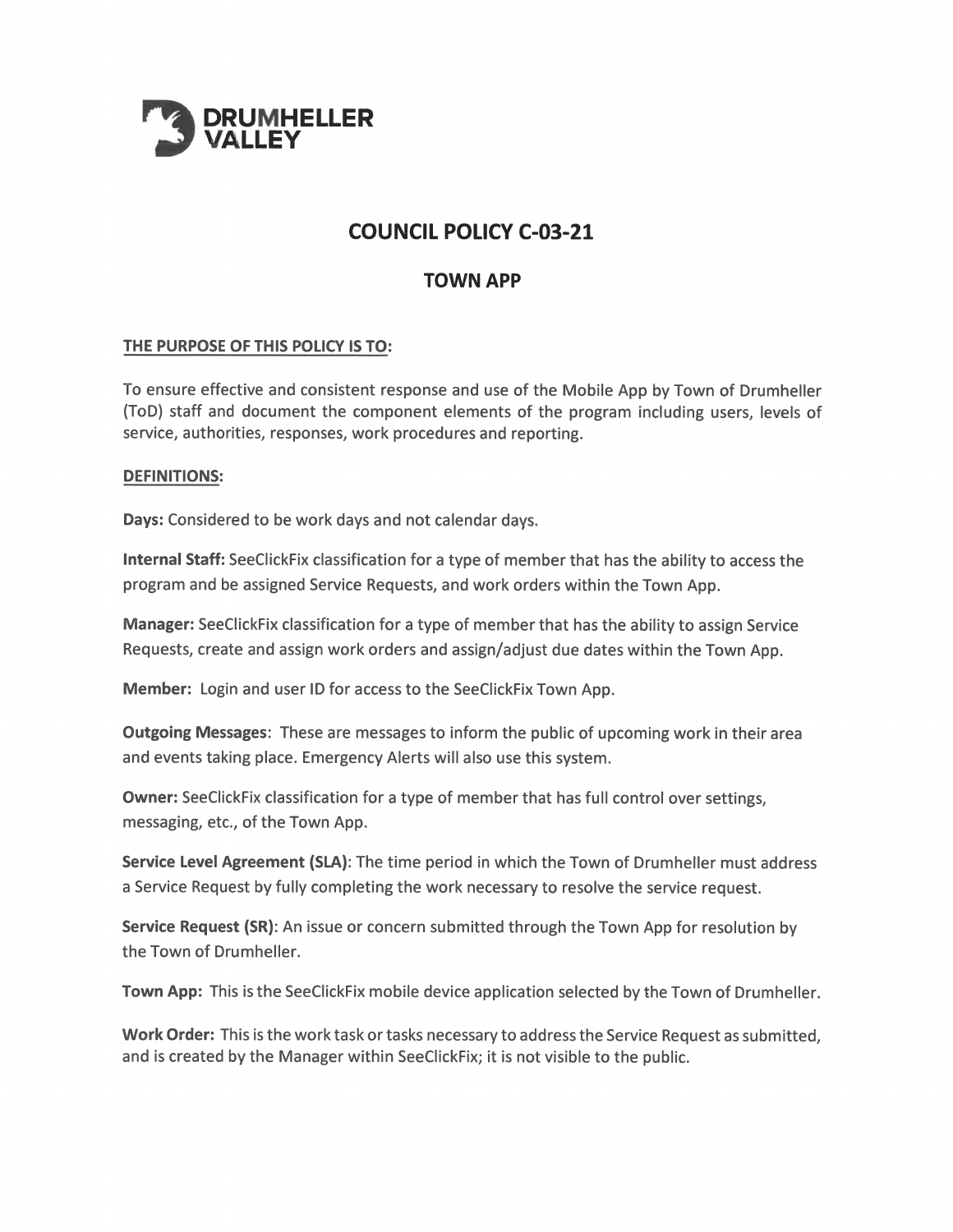

# **COUNCIL POLICY C-03-21**

# **TOWN APP**

# THE PURPOSE OF THIS POLICY IS TO:

To ensure effective and consistent response and use of the Mobile App by Town of Drumheller (ToD) staff and document the component elements of the program including users, levels of service, authorities, responses, work procedures and reporting.

#### **DEFINITIONS:**

Days: Considered to be work days and not calendar days.

Internal Staff: SeeClickFix classification for a type of member that has the ability to access the program and be assigned Service Requests, and work orders within the Town App.

Manager: SeeClickFix classification for a type of member that has the ability to assign Service Requests, create and assign work orders and assign/adjust due dates within the Town App.

**Member:** Login and user ID for access to the SeeClickFix Town App.

Outgoing Messages: These are messages to inform the public of upcoming work in their area and events taking place. Emergency Alerts will also use this system.

Owner: SeeClickFix classification for a type of member that has full control over settings, messaging, etc., of the Town App.

Service Level Agreement (SLA): The time period in which the Town of Drumheller must address a Service Request by fully completing the work necessary to resolve the service request.

**Service Request (SR):** An issue or concern submitted through the Town App for resolution by the Town of Drumheller.

Town App: This is the SeeClickFix mobile device application selected by the Town of Drumheller.

Work Order: This is the work task or tasks necessary to address the Service Request as submitted, and is created by the Manager within SeeClickFix; it is not visible to the public.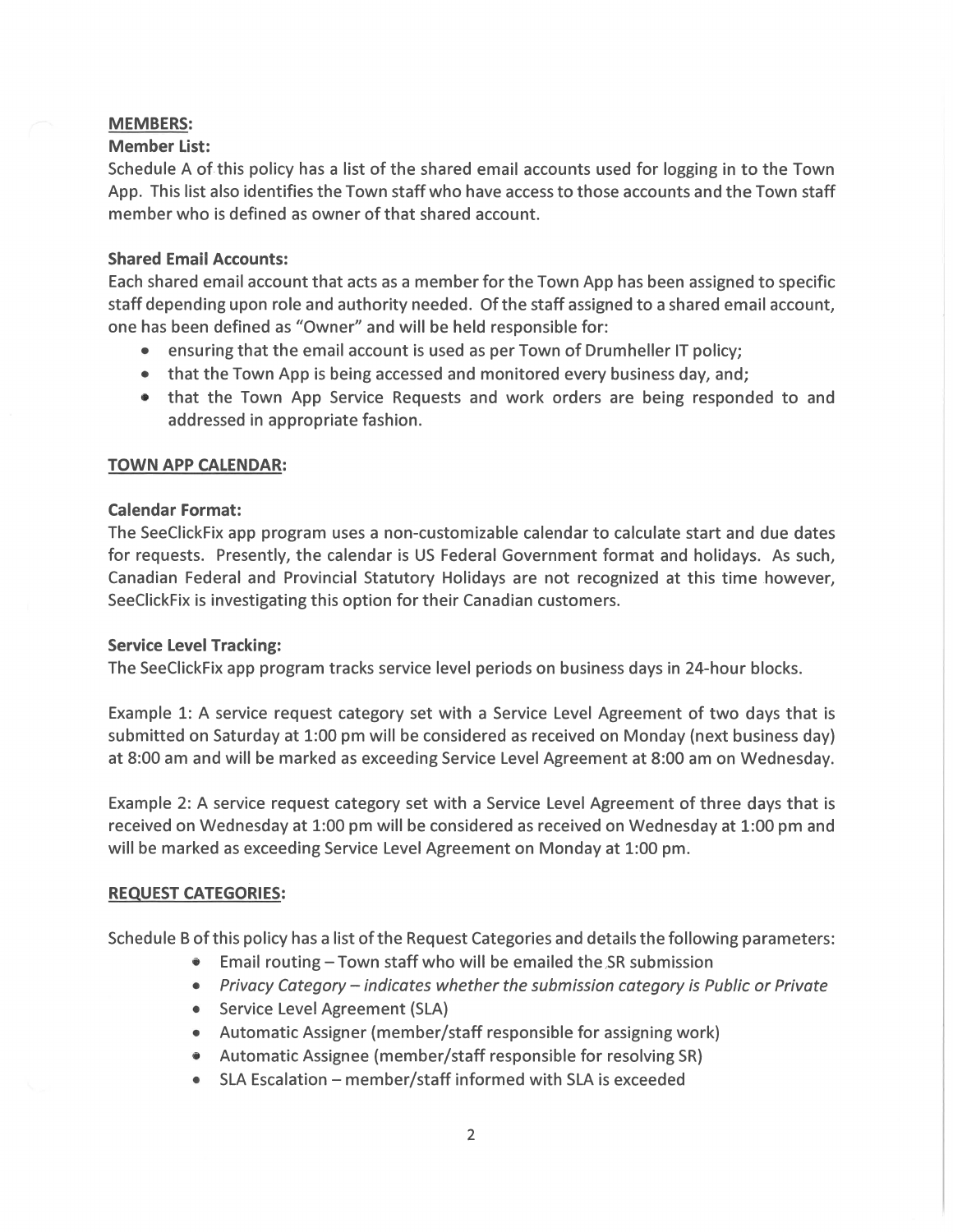# **MEMBERS:**

# **Member List:**

Schedule A of this policy has a list of the shared email accounts used for logging in to the Town App. This list also identifies the Town staff who have access to those accounts and the Town staff member who is defined as owner of that shared account.

# **Shared Email Accounts:**

Each shared email account that acts as a member for the Town App has been assigned to specific staff depending upon role and authority needed. Of the staff assigned to a shared email account, one has been defined as "Owner" and will be held responsible for:

- ensuring that the email account is used as per Town of Drumheller IT policy;
- that the Town App is being accessed and monitored every business day, and;
- that the Town App Service Requests and work orders are being responded to and addressed in appropriate fashion.

# **TOWN APP CALENDAR:**

# **Calendar Format:**

The SeeClickFix app program uses a non-customizable calendar to calculate start and due dates for requests. Presently, the calendar is US Federal Government format and holidays. As such, Canadian Federal and Provincial Statutory Holidays are not recognized at this time however, SeeClickFix is investigating this option for their Canadian customers.

#### **Service Level Tracking:**

The SeeClickFix app program tracks service level periods on business days in 24-hour blocks.

Example 1: A service request category set with a Service Level Agreement of two days that is submitted on Saturday at 1:00 pm will be considered as received on Monday (next business day) at 8:00 am and will be marked as exceeding Service Level Agreement at 8:00 am on Wednesday.

Example 2: A service request category set with a Service Level Agreement of three days that is received on Wednesday at 1:00 pm will be considered as received on Wednesday at 1:00 pm and will be marked as exceeding Service Level Agreement on Monday at 1:00 pm.

# **REQUEST CATEGORIES:**

Schedule B of this policy has a list of the Request Categories and details the following parameters:

- Email routing Town staff who will be emailed the SR submission
- Privacy Category indicates whether the submission category is Public or Private
- Service Level Agreement (SLA)
- Automatic Assigner (member/staff responsible for assigning work)
- Automatic Assignee (member/staff responsible for resolving SR)
- SLA Escalation member/staff informed with SLA is exceeded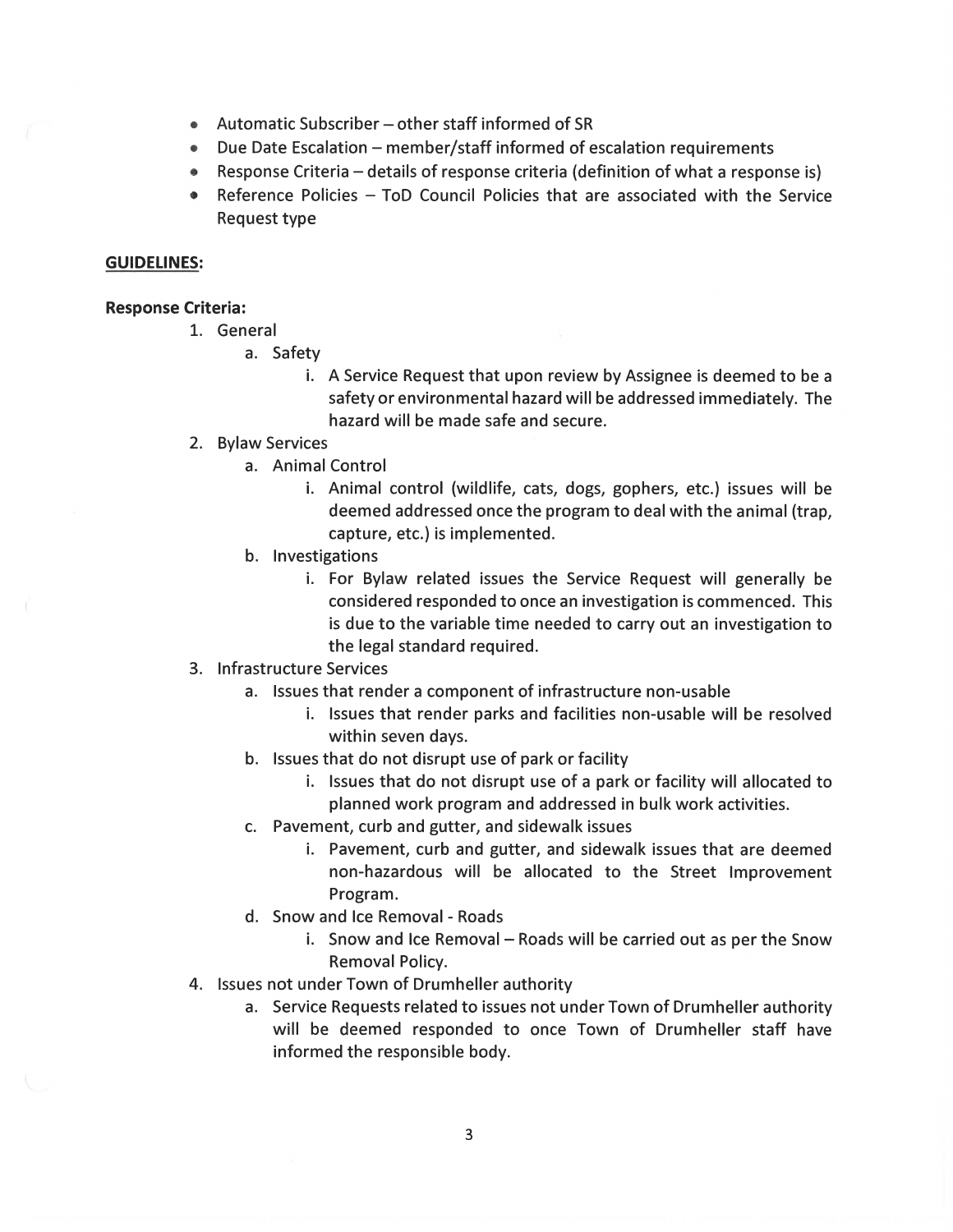- Automatic Subscriber other staff informed of SR
- Due Date Escalation member/staff informed of escalation requirements
- Response Criteria details of response criteria (definition of what a response is)
- Reference Policies ToD Council Policies that are associated with the Service  $\bullet$ Request type

#### **GUIDELINES:**

#### **Response Criteria:**

- 1. General
	- a. Safety
		- i. A Service Request that upon review by Assignee is deemed to be a safety or environmental hazard will be addressed immediately. The hazard will be made safe and secure.

#### 2. Bylaw Services

- a. Animal Control
	- i. Animal control (wildlife, cats, dogs, gophers, etc.) issues will be deemed addressed once the program to deal with the animal (trap, capture, etc.) is implemented.
- b. Investigations
	- i. For Bylaw related issues the Service Request will generally be considered responded to once an investigation is commenced. This is due to the variable time needed to carry out an investigation to the legal standard required.
- 3. Infrastructure Services
	- a. Issues that render a component of infrastructure non-usable
		- i. Issues that render parks and facilities non-usable will be resolved within seven days.
	- b. Issues that do not disrupt use of park or facility
		- i. Issues that do not disrupt use of a park or facility will allocated to planned work program and addressed in bulk work activities.
	- c. Pavement, curb and gutter, and sidewalk issues
		- i. Pavement, curb and gutter, and sidewalk issues that are deemed non-hazardous will be allocated to the Street Improvement Program.
	- d. Snow and Ice Removal Roads
		- i. Snow and Ice Removal Roads will be carried out as per the Snow Removal Policy.
- 4. Issues not under Town of Drumheller authority
	- a. Service Requests related to issues not under Town of Drumheller authority will be deemed responded to once Town of Drumheller staff have informed the responsible body.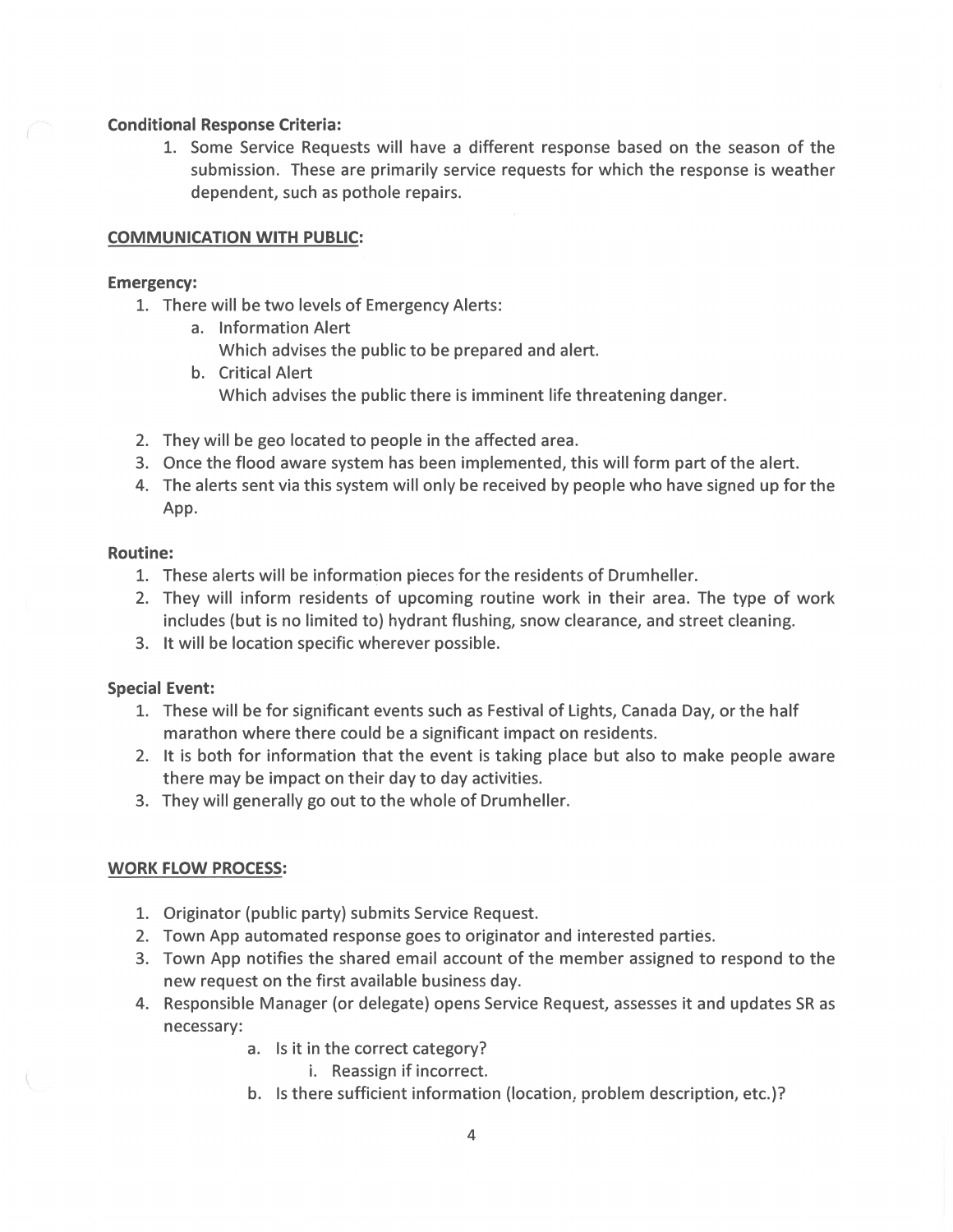#### **Conditional Response Criteria:**

1. Some Service Requests will have a different response based on the season of the submission. These are primarily service requests for which the response is weather dependent, such as pothole repairs.

# **COMMUNICATION WITH PUBLIC:**

### **Emergency:**

- 1. There will be two levels of Emergency Alerts:
	- a. Information Alert
		- Which advises the public to be prepared and alert.
	- b. Critical Alert Which advises the public there is imminent life threatening danger.
- 2. They will be geo located to people in the affected area.
- 3. Once the flood aware system has been implemented, this will form part of the alert.
- 4. The alerts sent via this system will only be received by people who have signed up for the App.

# **Routine:**

- 1. These alerts will be information pieces for the residents of Drumheller.
- 2. They will inform residents of upcoming routine work in their area. The type of work includes (but is no limited to) hydrant flushing, snow clearance, and street cleaning.
- 3. It will be location specific wherever possible.

# **Special Event:**

- 1. These will be for significant events such as Festival of Lights, Canada Day, or the half marathon where there could be a significant impact on residents.
- 2. It is both for information that the event is taking place but also to make people aware there may be impact on their day to day activities.
- 3. They will generally go out to the whole of Drumheller.

# **WORK FLOW PROCESS:**

- 1. Originator (public party) submits Service Request.
- 2. Town App automated response goes to originator and interested parties.
- 3. Town App notifies the shared email account of the member assigned to respond to the new request on the first available business day.
- 4. Responsible Manager (or delegate) opens Service Request, assesses it and updates SR as necessary:
	- a. Is it in the correct category?
		- i. Reassign if incorrect.
	- b. Is there sufficient information (location, problem description, etc.)?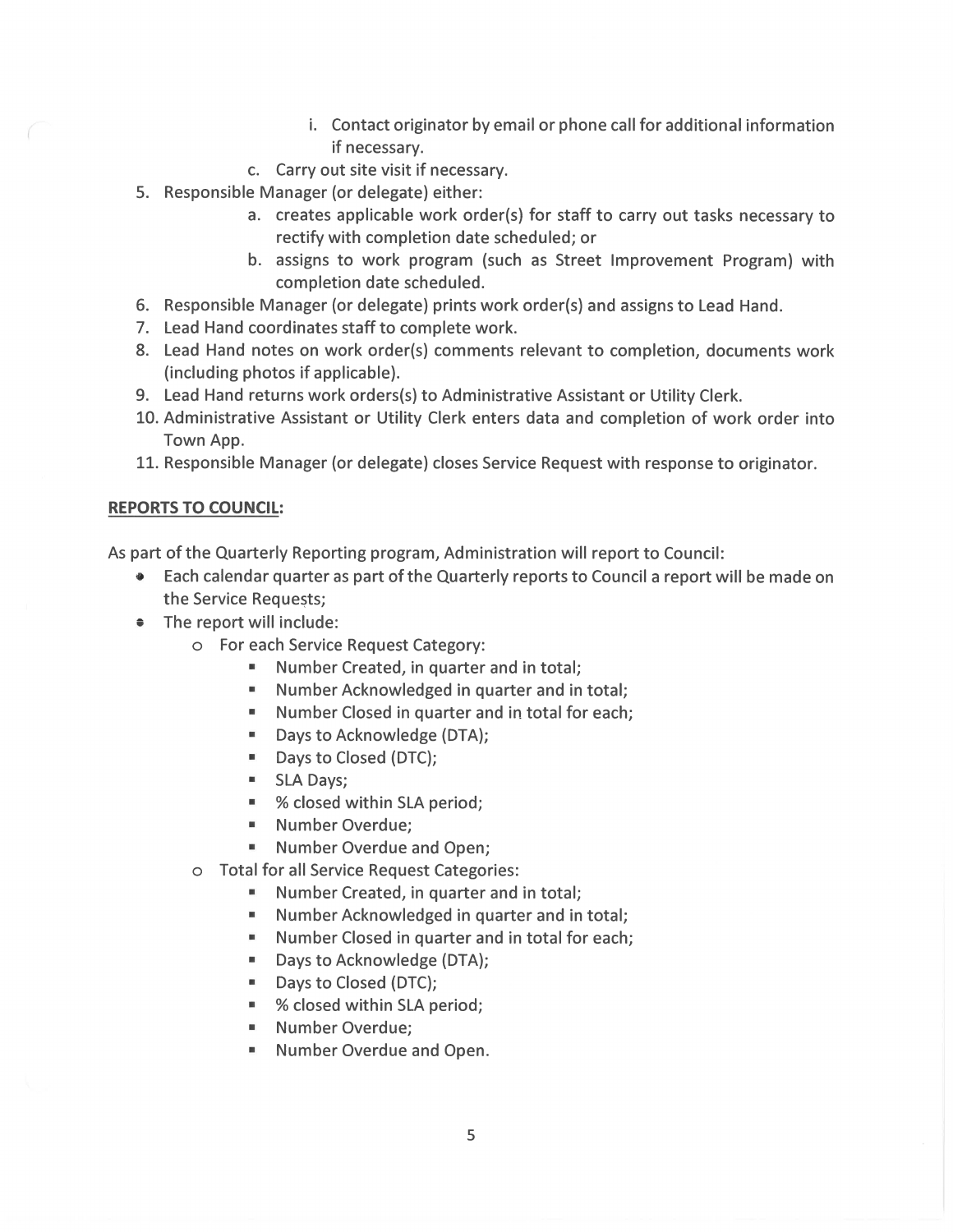- i. Contact originator by email or phone call for additional information if necessary.
- c. Carry out site visit if necessary.
- 5. Responsible Manager (or delegate) either:
	- a. creates applicable work order(s) for staff to carry out tasks necessary to rectify with completion date scheduled; or
	- b. assigns to work program (such as Street Improvement Program) with completion date scheduled.
- 6. Responsible Manager (or delegate) prints work order(s) and assigns to Lead Hand.
- 7. Lead Hand coordinates staff to complete work.
- 8. Lead Hand notes on work order(s) comments relevant to completion, documents work (including photos if applicable).
- 9. Lead Hand returns work orders(s) to Administrative Assistant or Utility Clerk.
- 10. Administrative Assistant or Utility Clerk enters data and completion of work order into Town App.
- 11. Responsible Manager (or delegate) closes Service Request with response to originator.

# **REPORTS TO COUNCIL:**

As part of the Quarterly Reporting program, Administration will report to Council:

- Each calendar quarter as part of the Quarterly reports to Council a report will be made on the Service Requests;
- The report will include:
	- o For each Service Request Category:
		- $\mathbf{H}$ Number Created, in quarter and in total;
		- Number Acknowledged in quarter and in total;
		- $\blacksquare$ Number Closed in quarter and in total for each;
		- $\blacksquare$ Days to Acknowledge (DTA);
		- $\blacksquare$ Days to Closed (DTC);
		- $\mathbf{H}$ SLA Days;
		- % closed within SLA period;
		- " Number Overdue;
		- " Number Overdue and Open;
	- o Total for all Service Request Categories:
		- Number Created, in quarter and in total;
		- " Number Acknowledged in quarter and in total;
		- Number Closed in quarter and in total for each;
		- Days to Acknowledge (DTA);  $\blacksquare$
		- " Days to Closed (DTC);
		- % closed within SLA period;
		- Number Overdue; m.
		- Number Overdue and Open.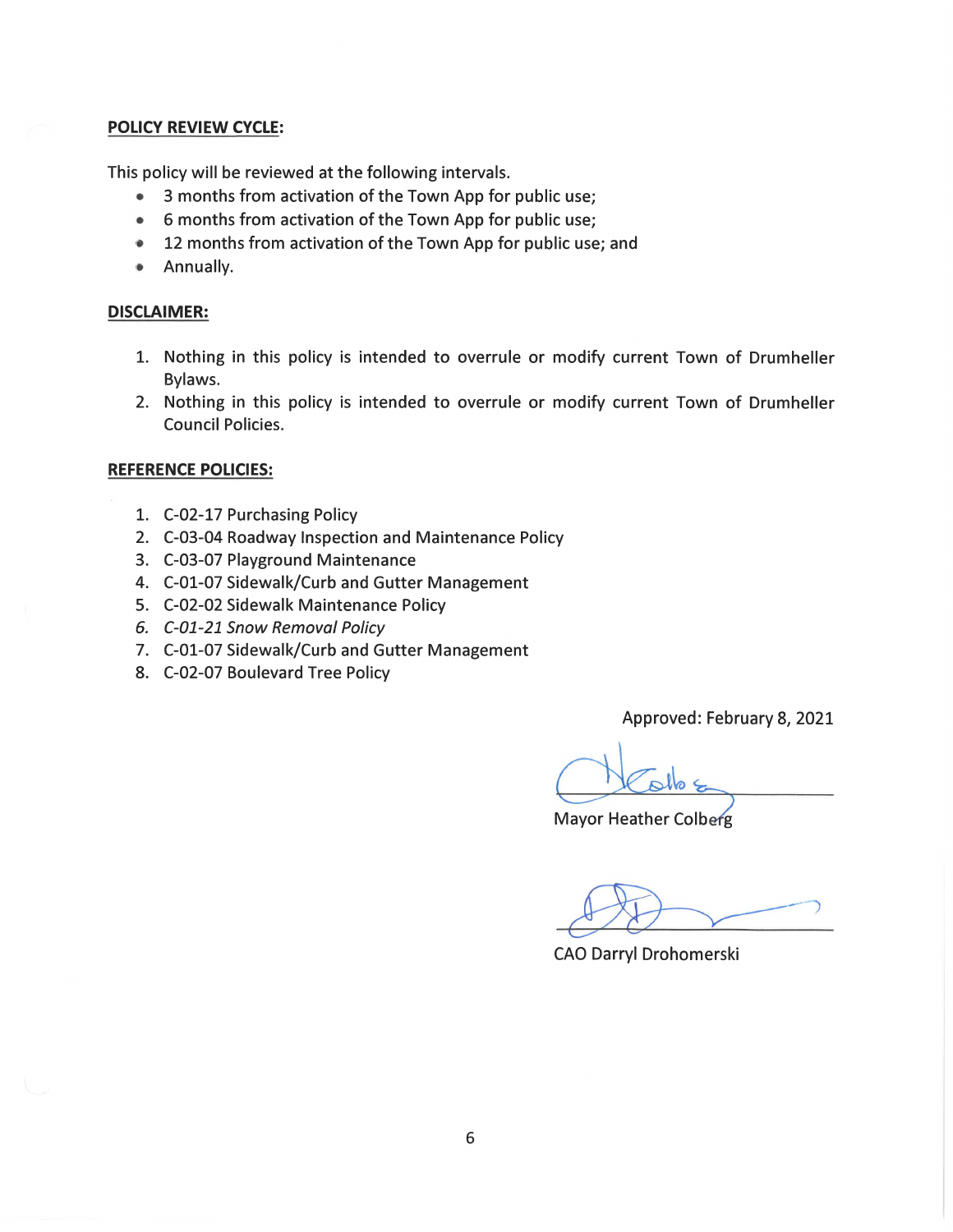# **POLICY REVIEW CYCLE:**

This policy will be reviewed at the following intervals.

- $\bullet$ 3 months from activation of the Town App for public use;
- 6 months from activation of the Town App for public use;
- 12 months from activation of the Town App for public use; and  $\bullet$
- Annually.  $\bullet$

# **DISCLAIMER:**

- 1. Nothing in this policy is intended to overrule or modify current Town of Drumheller Bylaws.
- 2. Nothing in this policy is intended to overrule or modify current Town of Drumheller **Council Policies.**

# **REFERENCE POLICIES:**

- 1. C-02-17 Purchasing Policy
- 2. C-03-04 Roadway Inspection and Maintenance Policy
- 3. C-03-07 Playground Maintenance
- 4. C-01-07 Sidewalk/Curb and Gutter Management
- 5. C-02-02 Sidewalk Maintenance Policy
- 6. C-01-21 Snow Removal Policy
- 7. C-01-07 Sidewalk/Curb and Gutter Management
- 8. C-02-07 Boulevard Tree Policy

Approved: February 8, 2021

**Mayor Heather Colberg** 

**CAO Darryl Drohomerski**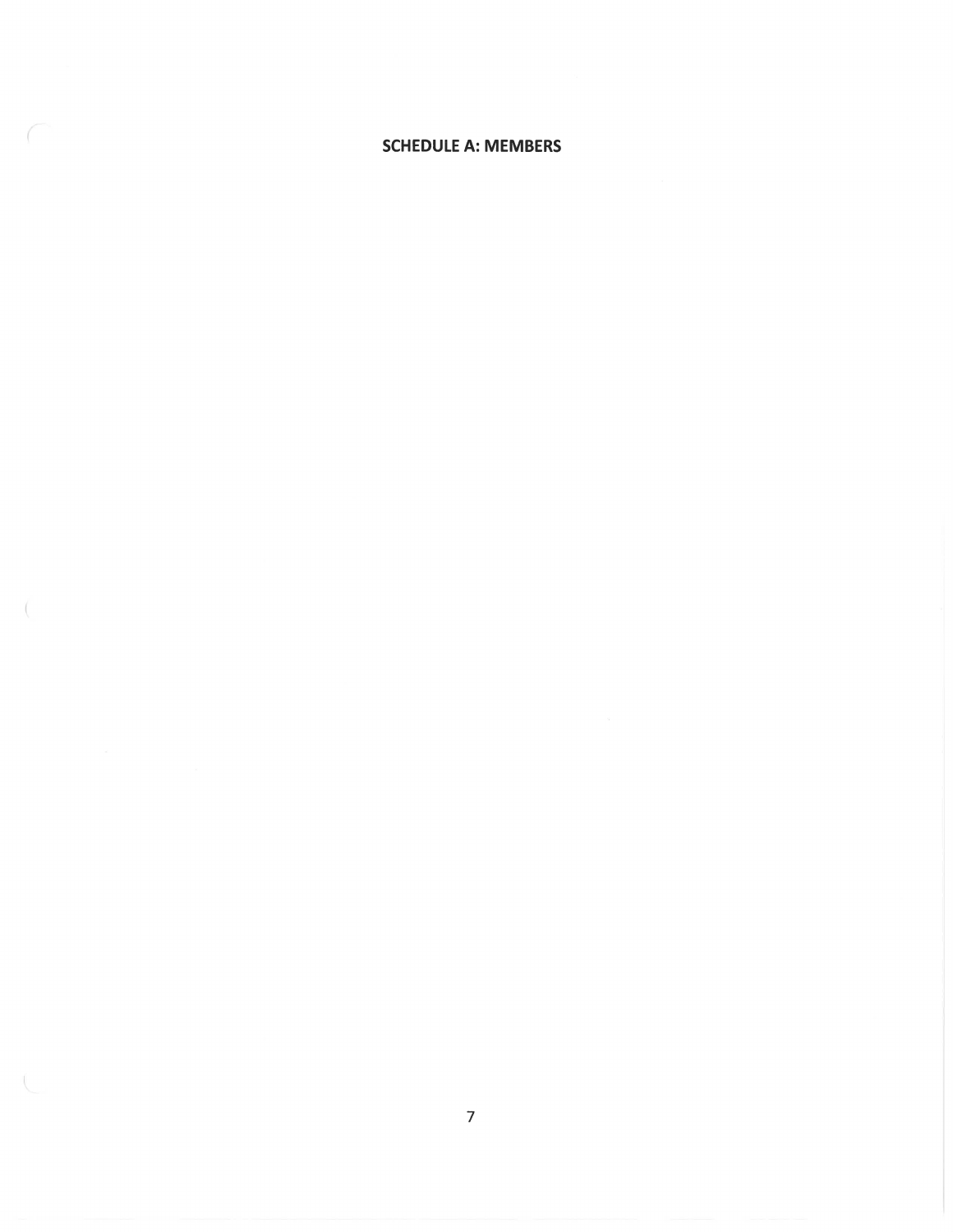#### **SCHEDULE A: MEMBERS**

- (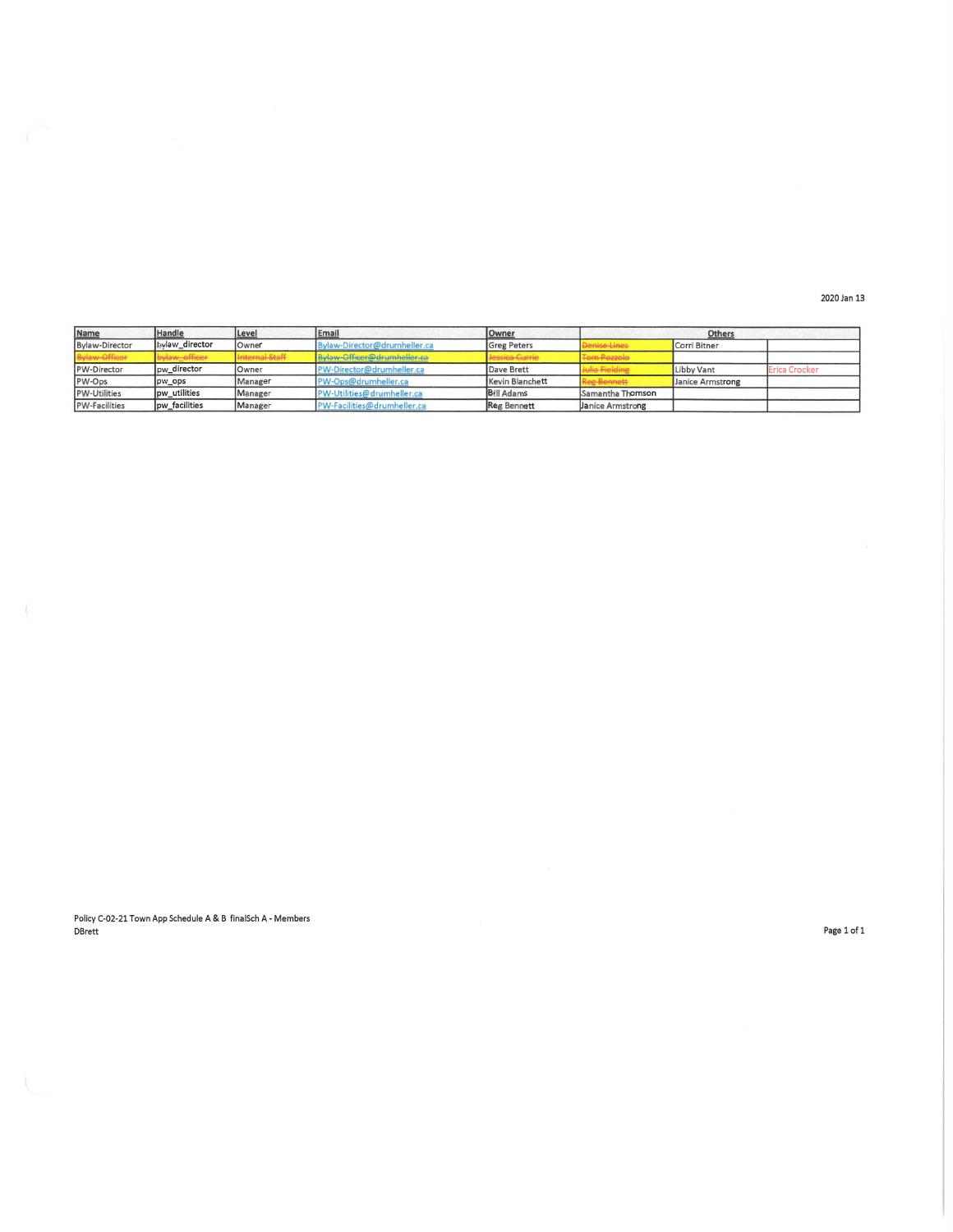2020 Jan 13

| Name                 | Handle         | Level                 | Email                        | <b>Owner</b>       |                         | <b>Others</b>    |               |  |
|----------------------|----------------|-----------------------|------------------------------|--------------------|-------------------------|------------------|---------------|--|
| Bylaw-Director       | bylaw director | <b>Owner</b>          | Bylaw-Director@drumheller.ca | <b>Greg Peters</b> | Denise Lines            | Corri Bitner     |               |  |
| Bylaw-Officer        | bylaw_officer  | <b>Internal Staff</b> | Bylaw-Officer@drumheller.ca  | Jessica Currie     | <b>Tem-Pezzole</b>      |                  |               |  |
| PW-Director          | lpw director   | Owner                 | PW-Director@drumheller.ca    | Dave Brett         | Julia Fielding          | Libby Vant       | Erica Crocker |  |
| PW-Ops               | pw_ops         | Manager               | PW-Ops@drumheller.ca         | Kevin Blanchett    | Reg Bennett             | Janice Armstrong |               |  |
| <b>PW-Utilities</b>  | pw_utilities   | Manager               | PW-Utilities@drumheller.ca   | <b>Bill Adams</b>  | Samantha Thomson        |                  |               |  |
| <b>PW-Facilities</b> | lpw facilities | Manager               | PW-Facilities@drumheller.ca  | Reg Bennett        | <b>Janice Armstrong</b> |                  |               |  |

Policy C-02-21 Town App Schedule A & B finalSch A - Members DBrett

Page 1 of 1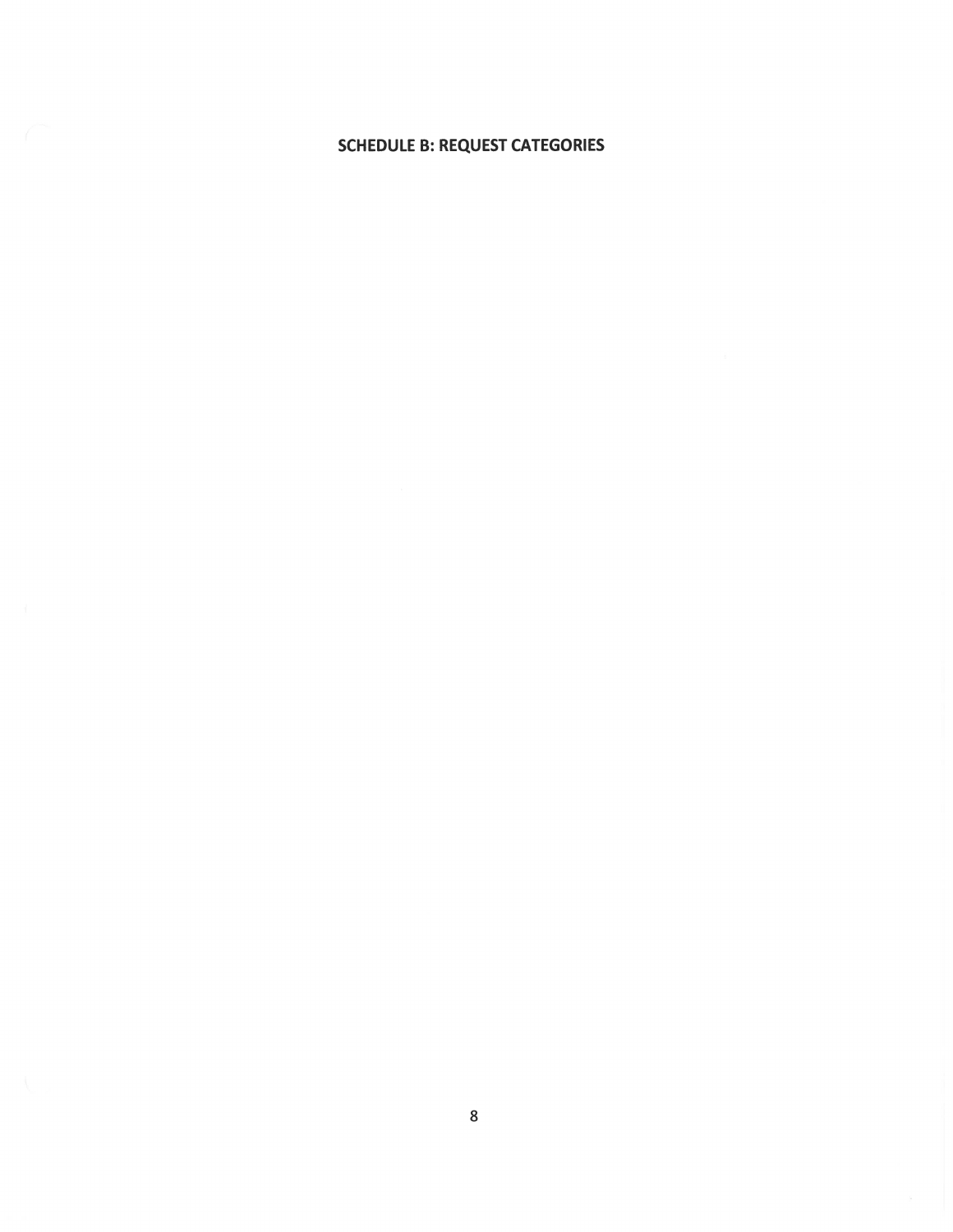# **SCHEDULE B: REQUEST CATEGORIES**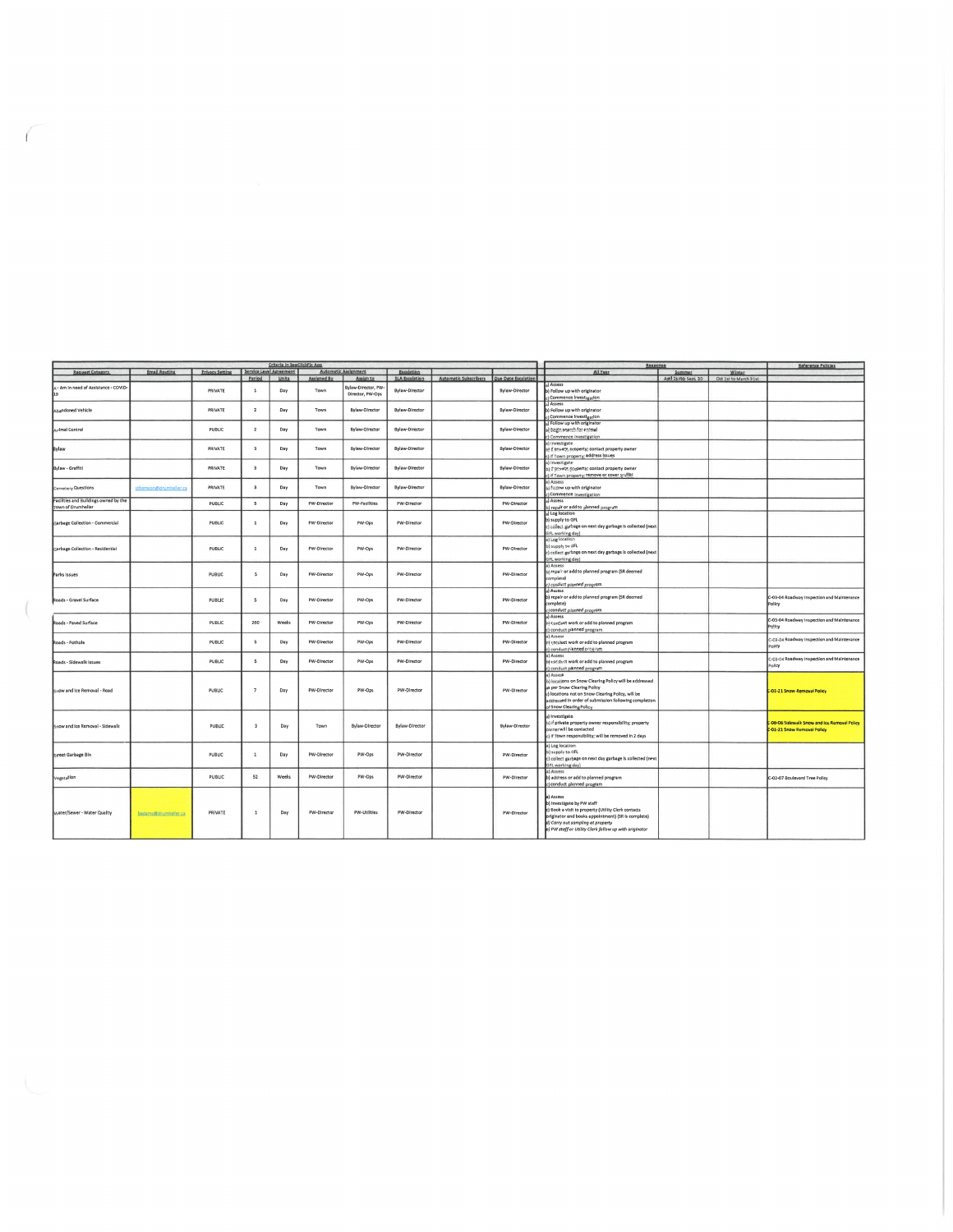|                                                             |                        |                        |                          |       |             | <b>Automatic Assignment</b>             |                       |                       |                            |                                                                                                                                                                                                                                                     |        |                                             | Reservative Nonvictor                                                       |
|-------------------------------------------------------------|------------------------|------------------------|--------------------------|-------|-------------|-----------------------------------------|-----------------------|-----------------------|----------------------------|-----------------------------------------------------------------------------------------------------------------------------------------------------------------------------------------------------------------------------------------------------|--------|---------------------------------------------|-----------------------------------------------------------------------------|
| Request Category                                            | <b>Email Routing</b>   | <b>Privacy Setting</b> | Service Level Agreement  |       |             |                                         | Escalation            |                       |                            | All Year                                                                                                                                                                                                                                            | Summer | Winter                                      |                                                                             |
|                                                             |                        |                        | Period                   | Units | Assigned By | Assign to                               | <b>SLA Escalation</b> | Automatic Subscribers | <b>Due Date Escalation</b> |                                                                                                                                                                                                                                                     |        | April 1st to Sept, 30 Oct 1st to March 31st |                                                                             |
| - Am In need of Assistance - COVID-                         |                        | PRIVATE                | $\mathbf{1}$             | Day   | Town        | Bylaw-Director, PW-<br>Director, PW-Ops | Bylaw-Director        |                       | Bylaw-Director             | Assess<br>) Follow up with originator<br>Commence Investigation                                                                                                                                                                                     |        |                                             |                                                                             |
| Abandoned Vehicle                                           |                        | PRIVATE                | $\overline{2}$           | Day   | Town        | Bylaw-Director                          | Bylaw-Director        |                       | Bylaw-Director             | a) Assess<br>b) Follow up with originator<br>c) Commence Investigation                                                                                                                                                                              |        |                                             |                                                                             |
| <b>Arlmal Control</b>                                       |                        | PUBLIC                 | $\overline{2}$           | Day   | Town        | Bylaw-Director                          | <b>Bylaw-Director</b> |                       | <b>Bylaw-Director</b>      | a) Follow up with originator<br>¿ begin search for animal<br>c) Commence investigation                                                                                                                                                              |        |                                             |                                                                             |
| Bylaw                                                       |                        | PRIVATE                | $\overline{\mathbf{3}}$  | Day   | Town        | Bylaw-Director                          | <b>Bylaw-Director</b> |                       | Bylaw-Director             | a) Investigate<br>If private property; contact property owner<br>If Town property; address Issues                                                                                                                                                   |        |                                             |                                                                             |
| Bylaw - Graffiti                                            |                        | PRIVATE                | $\overline{\mathbf{3}}$  | Day   | Town        | <b>Bylaw-Director</b>                   | <b>Bylaw-Director</b> |                       | <b>Bylaw-Director</b>      | a) Investigate<br>b) if private property; contact property owner<br>:) if Town property; remove or cover graffiti                                                                                                                                   |        |                                             |                                                                             |
| Cemetery Questions                                          | sthomson@drumheller.ca | PRIVATE                | $\overline{\mathbf{3}}$  | Day   | Town        | Bylaw-Director                          | Bylaw-Director        |                       | Bylaw-Director             | a) Assess<br>b) Follow up with originator<br>c) Commence investigation                                                                                                                                                                              |        |                                             |                                                                             |
| Facilities and Buildings owned by the<br>Town of Drumheller |                        | PUBLIC                 | $\mathsf{s}$             | Day   | PW-Director | <b>PW-Facilities</b>                    | PW-Director           |                       | PW-Director                | a) Assess<br>b) repair or add to planned program                                                                                                                                                                                                    |        |                                             |                                                                             |
| Garbage Collection - Commercial                             |                        | PUBLIC                 | $\mathbf{1}$             | Day   | PW-Director | PW-Ops                                  | PW-Director           |                       | PW-Director                | a) Log location<br>b) supply to GFL<br>c) collect garbage on next day garbage is collected (next.<br>GFL working day)                                                                                                                               |        |                                             |                                                                             |
| Garbage Collection - Residential                            |                        | PUBLIC                 | $\mathbf 1$              | Day   | PW-Director | PW-Ops                                  | PW-Director           |                       | PW-Director                | a) Log location<br>b) supply to GFL<br>c) collect garbage on next day garbage is collected (next<br>GFL working day)                                                                                                                                |        |                                             |                                                                             |
| Parks Issues                                                |                        | PUBLIC                 | 5                        | Day   | PW-Director | PW-Ops                                  | PW-Director           |                       | PW-Director                | a) Assess<br>b) repair or add to planned program (SR deemed<br>complete)<br>c) conduct planned program                                                                                                                                              |        |                                             |                                                                             |
| Roads - Gravel Surface                                      |                        | PUBLIC                 | 5                        | Day   | PW-Director | PW-Ops                                  | PW-Director           |                       | PW-Director                | al Assess<br>b) repair or add to planned program (SR deerned<br>complete)<br>c) conduct planned program                                                                                                                                             |        |                                             | C-03-04 Roadway Inspection and Maintenance<br>Policy                        |
| Roads - Paved Surface                                       |                        | PUBLIC                 | 260                      | Weeks | PW-Director | PW-Ops                                  | PW-Director           |                       | PW-Director                | a) Assess<br>b) conduct work or add to planned program<br>c) conduct planned program                                                                                                                                                                |        |                                             | C-03-04 Roadway Inspection and Maintenance<br>Policy                        |
| Roads - Pothole                                             |                        | PUBLIC                 | 5                        | Day   | PW-Director | PW-Ops                                  | PW-Director           |                       | PW-Director                | a) Assess<br>b) conduct work or add to planned program<br>c) conduct planned program                                                                                                                                                                |        |                                             | C-03-04 Roadway Inspection and Maintenance<br>Policy                        |
| Roads - Sidewalk Issues                                     |                        | PUBLIC                 | \$                       | Day   | PW-Director | PW-Ops                                  | PW-Director           |                       | PW-Director                | a) Assess<br>b) conduct work or add to planned program<br>c) conduct planned program                                                                                                                                                                |        |                                             | C-03-04 Roadway Inspection and Maintenance<br>Policy                        |
| Snow and Ice Removal - Road                                 |                        | PUBLIC                 | $\overline{7}$           | Day   | PW-Director | PW-Ops                                  | PW-Director           |                       | PW-Director                | a) Assess<br>b) locations on Snow Clearing Policy will be addressed<br>as per Snow Clearing Policy<br>c) locations not on Snow Clearing Policy, will be<br>addressed in order of submission following completion<br>of Snow Clearing Policy         |        |                                             | C-01-21 Snow Removal Policy                                                 |
| Snow and Ice Removal - Sidewalk                             |                        | PUBLIC                 | $\overline{\phantom{a}}$ | Day   | Town        | Bylaw-Director                          | Bylaw-Director        |                       | Bylaw-Director             | a) investigate<br>b) if private property owner responsibility; property<br>owner will be contacted<br>c) if Town responsibility; will be removed in 2 days                                                                                          |        |                                             | C-06-06 Sidewalk Snow and Ice Removal Policy<br>C-01-21 Snow Removal Policy |
| <b>Street Garbage Bin</b>                                   |                        | <b>PUBLIC</b>          | $\,$ 1                   | Day   | PW-Director | PW-Ops                                  | PW-Director           |                       | PW-Director                | a) Log location<br>b) supply to GFL<br>c) collect garbage on next day garbage is collected (next<br>GFL working day)                                                                                                                                |        |                                             |                                                                             |
| Vegetation                                                  |                        | PUBLIC                 | 52                       | Weeks | PW-Director | PW-Ops                                  | PW-Director           |                       | PW-Director                | a) Assess<br>b) address or add to planned program<br>c) conduct planned program                                                                                                                                                                     |        |                                             | C-02-07 Boulevard Tree Policy                                               |
| Water/Sewer - Water Quality                                 | begams@sinimhelisc.ca  | PRIVATE                | $\mathbf{1}$             | Day   | PW-Director | PW-Utilities                            | PW-Director           |                       | PW-Director                | a) Assess<br>b) Investigate by PW staff<br>c) Book a visit to property (Utility Clerk contacts<br>originator and books appointment) (SR is complete)<br>d) Carry out sampling at property<br>e) PW staff or Utility Clerk follow up with originator |        |                                             |                                                                             |